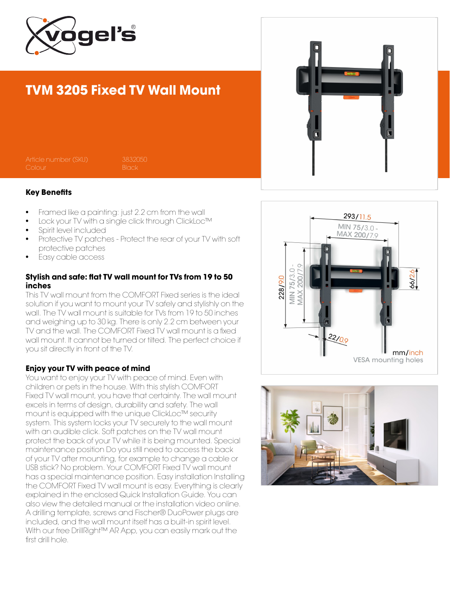

## TVM 3205 Fixed TV Wall Mount

Article number (SKU) 3832050

#### Key Benefits

- Framed like a painting: just 2.2 cm from the wall
- Lock your TV with a single click through ClickLoc™
- Spirit level included
- Protective TV patches Protect the rear of your TV with soft protective patches
- Easy cable access

### Stylish and safe: flat TV wall mount for TVs from 19 to 50 inches

This TV wall mount from the COMFORT Fixed series is the ideal solution if you want to mount your TV safely and stylishly on the wall. The TV wall mount is suitable for TVs from 19 to 50 inches and weighing up to 30 kg. There is only 2.2 cm between your TV and the wall. The COMFORT Fixed TV wall mount is a fixed wall mount. It cannot be turned or tilted. The perfect choice if you sit directly in front of the TV.

#### Enjoy your TV with peace of mind

You want to enjoy your TV with peace of mind. Even with children or pets in the house. With this stylish COMFORT Fixed TV wall mount, you have that certainty. The wall mount excels in terms of design, durability and safety. The wall mount is equipped with the unique ClickLoc™ security system. This system locks your TV securely to the wall mount with an audible click. Soft patches on the TV wall mount protect the back of your TV while it is being mounted. Special maintenance position Do you still need to access the back of your TV after mounting, for example to change a cable or USB stick? No problem. Your COMFORT Fixed TV wall mount has a special maintenance position. Easy installation Installing the COMFORT Fixed TV wall mount is easy. Everything is clearly explained in the enclosed Quick Installation Guide. You can also view the detailed manual or the installation video online. A drilling template, screws and Fischer® DuoPower plugs are included, and the wall mount itself has a built-in spirit level. With our free DrillRight™ AR App, you can easily mark out the first drill hole.